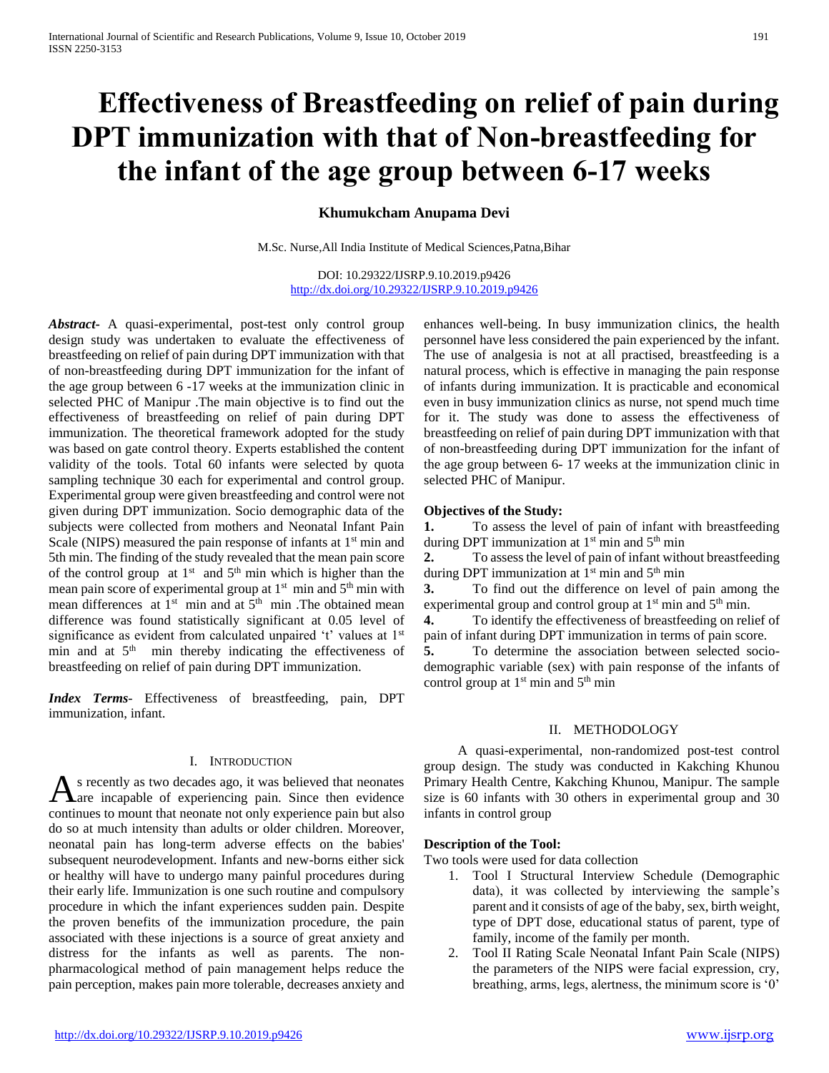# **Effectiveness of Breastfeeding on relief of pain during DPT immunization with that of Non-breastfeeding for the infant of the age group between 6-17 weeks**

# **Khumukcham Anupama Devi**

M.Sc. Nurse,All India Institute of Medical Sciences,Patna,Bihar

DOI: 10.29322/IJSRP.9.10.2019.p9426 <http://dx.doi.org/10.29322/IJSRP.9.10.2019.p9426>

*Abstract***-** A quasi-experimental, post-test only control group design study was undertaken to evaluate the effectiveness of breastfeeding on relief of pain during DPT immunization with that of non-breastfeeding during DPT immunization for the infant of the age group between 6 -17 weeks at the immunization clinic in selected PHC of Manipur .The main objective is to find out the effectiveness of breastfeeding on relief of pain during DPT immunization. The theoretical framework adopted for the study was based on gate control theory. Experts established the content validity of the tools. Total 60 infants were selected by quota sampling technique 30 each for experimental and control group. Experimental group were given breastfeeding and control were not given during DPT immunization. Socio demographic data of the subjects were collected from mothers and Neonatal Infant Pain Scale (NIPS) measured the pain response of infants at  $1<sup>st</sup>$  min and 5th min. The finding of the study revealed that the mean pain score of the control group at  $1<sup>st</sup>$  and  $5<sup>th</sup>$  min which is higher than the mean pain score of experimental group at  $1<sup>st</sup>$  min and  $5<sup>th</sup>$  min with mean differences at  $1<sup>st</sup>$  min and at  $5<sup>th</sup>$  min. The obtained mean difference was found statistically significant at 0.05 level of significance as evident from calculated unpaired 't' values at 1st min and at  $5<sup>th</sup>$  min thereby indicating the effectiveness of breastfeeding on relief of pain during DPT immunization.

*Index Terms*- Effectiveness of breastfeeding, pain, DPT immunization, infant.

## I. INTRODUCTION

s recently as two decades ago, it was believed that neonates As recently as two decades ago, it was believed that neonates<br>Aare incapable of experiencing pain. Since then evidence continues to mount that neonate not only experience pain but also do so at much intensity than adults or older children. Moreover, neonatal pain has long-term adverse effects on the babies' subsequent neurodevelopment. Infants and new-borns either sick or healthy will have to undergo many painful procedures during their early life. Immunization is one such routine and compulsory procedure in which the infant experiences sudden pain. Despite the proven benefits of the immunization procedure, the pain associated with these injections is a source of great anxiety and distress for the infants as well as parents. The nonpharmacological method of pain management helps reduce the pain perception, makes pain more tolerable, decreases anxiety and

enhances well-being. In busy immunization clinics, the health personnel have less considered the pain experienced by the infant. The use of analgesia is not at all practised, breastfeeding is a natural process, which is effective in managing the pain response of infants during immunization. It is practicable and economical even in busy immunization clinics as nurse, not spend much time for it. The study was done to assess the effectiveness of breastfeeding on relief of pain during DPT immunization with that of non-breastfeeding during DPT immunization for the infant of the age group between 6- 17 weeks at the immunization clinic in selected PHC of Manipur.

## **Objectives of the Study:**

**1.** To assess the level of pain of infant with breastfeeding during DPT immunization at 1<sup>st</sup> min and 5<sup>th</sup> min

**2.** To assess the level of pain of infant without breastfeeding during DPT immunization at 1<sup>st</sup> min and 5<sup>th</sup> min

**3.** To find out the difference on level of pain among the experimental group and control group at  $1<sup>st</sup>$  min and  $5<sup>th</sup>$  min.

**4.** To identify the effectiveness of breastfeeding on relief of pain of infant during DPT immunization in terms of pain score.

**5.** To determine the association between selected sociodemographic variable (sex) with pain response of the infants of control group at  $1<sup>st</sup>$  min and  $5<sup>th</sup>$  min

## II. METHODOLOGY

 A quasi-experimental, non-randomized post-test control group design. The study was conducted in Kakching Khunou Primary Health Centre, Kakching Khunou, Manipur. The sample size is 60 infants with 30 others in experimental group and 30 infants in control group

## **Description of the Tool:**

Two tools were used for data collection

- 1. Tool I Structural Interview Schedule (Demographic data), it was collected by interviewing the sample's parent and it consists of age of the baby, sex, birth weight, type of DPT dose, educational status of parent, type of family, income of the family per month.
- 2. Tool II Rating Scale Neonatal Infant Pain Scale (NIPS) the parameters of the NIPS were facial expression, cry, breathing, arms, legs, alertness, the minimum score is '0'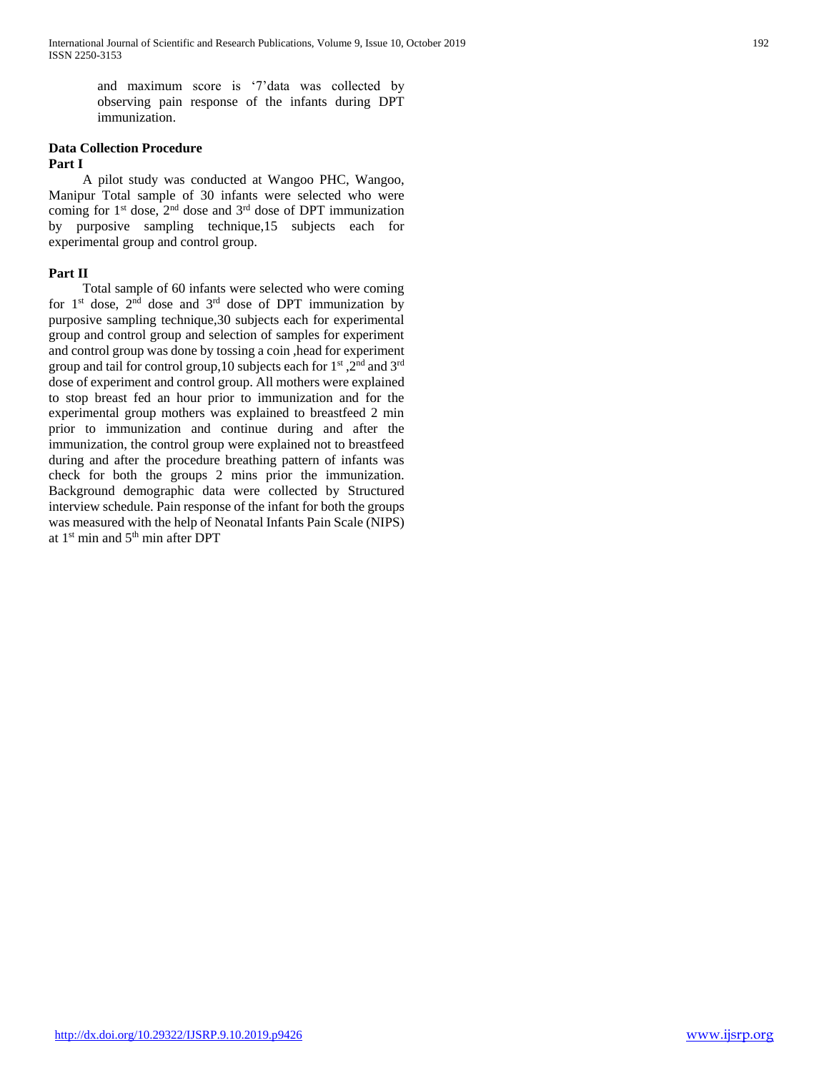and maximum score is '7'data was collected by observing pain response of the infants during DPT immunization.

## **Data Collection Procedure Part I**

 A pilot study was conducted at Wangoo PHC, Wangoo, Manipur Total sample of 30 infants were selected who were coming for  $1^{st}$  dose,  $2^{nd}$  dose and  $3^{rd}$  dose of DPT immunization by purposive sampling technique,15 subjects each for experimental group and control group.

# **Part II**

 Total sample of 60 infants were selected who were coming for  $1<sup>st</sup>$  dose,  $2<sup>nd</sup>$  dose and  $3<sup>rd</sup>$  dose of DPT immunization by purposive sampling technique,30 subjects each for experimental group and control group and selection of samples for experiment and control group was done by tossing a coin ,head for experiment group and tail for control group,10 subjects each for 1st ,2nd and 3rd dose of experiment and control group. All mothers were explained to stop breast fed an hour prior to immunization and for the experimental group mothers was explained to breastfeed 2 min prior to immunization and continue during and after the immunization, the control group were explained not to breastfeed during and after the procedure breathing pattern of infants was check for both the groups 2 mins prior the immunization. Background demographic data were collected by Structured interview schedule. Pain response of the infant for both the groups was measured with the help of Neonatal Infants Pain Scale (NIPS) at 1<sup>st</sup> min and 5<sup>th</sup> min after DPT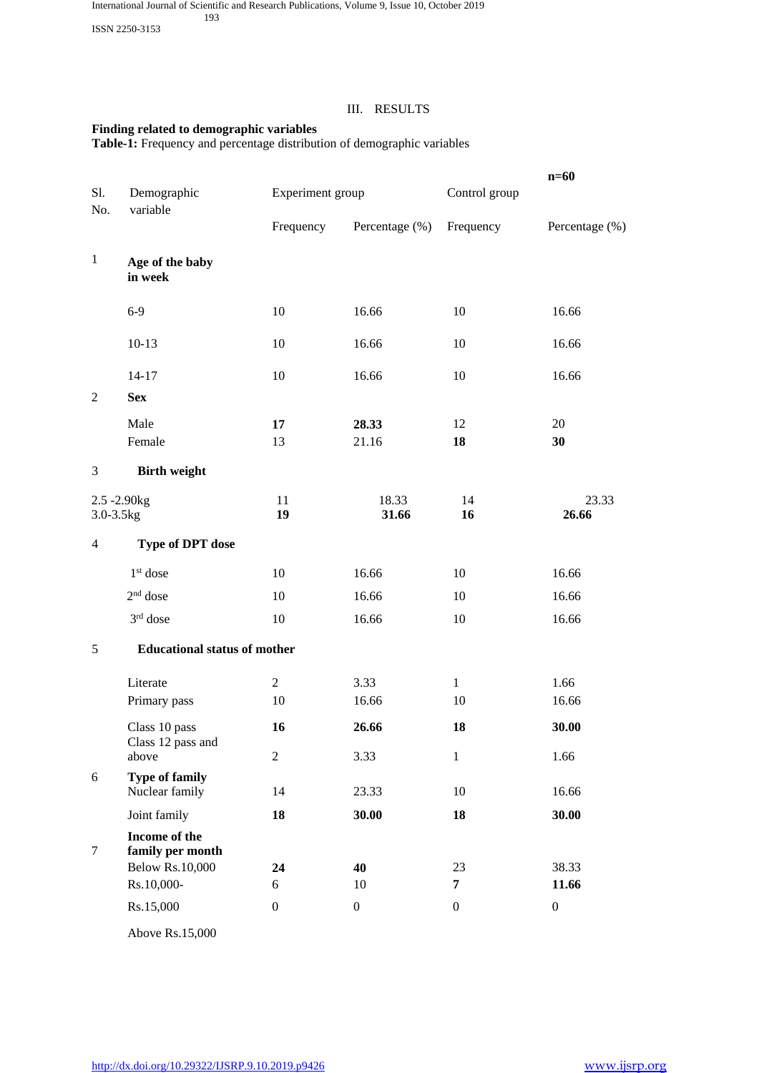ISSN 2250-3153

# III. RESULTS

# **Finding related to demographic variables**

**Table-1:** Frequency and percentage distribution of demographic variables

|                              |                                         |                  |                  |                  | $n=60$           |
|------------------------------|-----------------------------------------|------------------|------------------|------------------|------------------|
| Sl.<br>No.                   | Demographic<br>variable                 |                  | Experiment group |                  |                  |
|                              |                                         | Frequency        | Percentage (%)   | Frequency        | Percentage (%)   |
| $\mathbf{1}$                 | Age of the baby<br>in week              |                  |                  |                  |                  |
|                              | $6-9$                                   | 10               | 16.66            | 10               | 16.66            |
|                              | $10-13$                                 | 10               | 16.66            | 10               | 16.66            |
|                              | $14 - 17$                               | 10               | 16.66            | 10               | 16.66            |
| $\mathfrak{2}$               | <b>Sex</b>                              |                  |                  |                  |                  |
|                              | Male                                    | 17               | 28.33            | 12               | 20               |
|                              | Female                                  | 13               | 21.16            | 18               | 30               |
| 3                            | <b>Birth weight</b>                     |                  |                  |                  |                  |
| $2.5 - 2.90$ kg<br>3.0-3.5kg |                                         | 11<br>19         | 18.33<br>31.66   | 14<br>16         | 23.33<br>26.66   |
| $\overline{4}$               | <b>Type of DPT dose</b>                 |                  |                  |                  |                  |
|                              | $1st$ dose                              | 10               | 16.66            | 10               | 16.66            |
|                              | $2nd$ dose                              | 10               | 16.66            | 10               | 16.66            |
|                              | 3rd dose                                | 10               | 16.66            | 10               | 16.66            |
| 5                            | <b>Educational status of mother</b>     |                  |                  |                  |                  |
|                              | Literate                                | $\overline{2}$   | 3.33             | $\mathbf{1}$     | 1.66             |
|                              | Primary pass                            | 10               | 16.66            | 10               | 16.66            |
|                              | Class 10 pass<br>Class 12 pass and      | 16               | 26.66            | 18               | 30.00            |
|                              | above                                   | $\mathbf{2}$     | 3.33             | $\mathbf{1}$     | 1.66             |
| $\boldsymbol{6}$             | <b>Type of family</b><br>Nuclear family | 14               | 23.33            | 10               | 16.66            |
|                              | Joint family                            | 18               | 30.00            | 18               | 30.00            |
| 7                            | Income of the<br>family per month       |                  |                  |                  |                  |
|                              | <b>Below Rs.10,000</b>                  | 24               | 40               | 23               | 38.33            |
|                              | Rs.10,000-                              | 6                | 10               | $\overline{7}$   | 11.66            |
|                              | Rs.15,000                               | $\boldsymbol{0}$ | $\boldsymbol{0}$ | $\boldsymbol{0}$ | $\boldsymbol{0}$ |
|                              |                                         |                  |                  |                  |                  |

Above Rs.15,000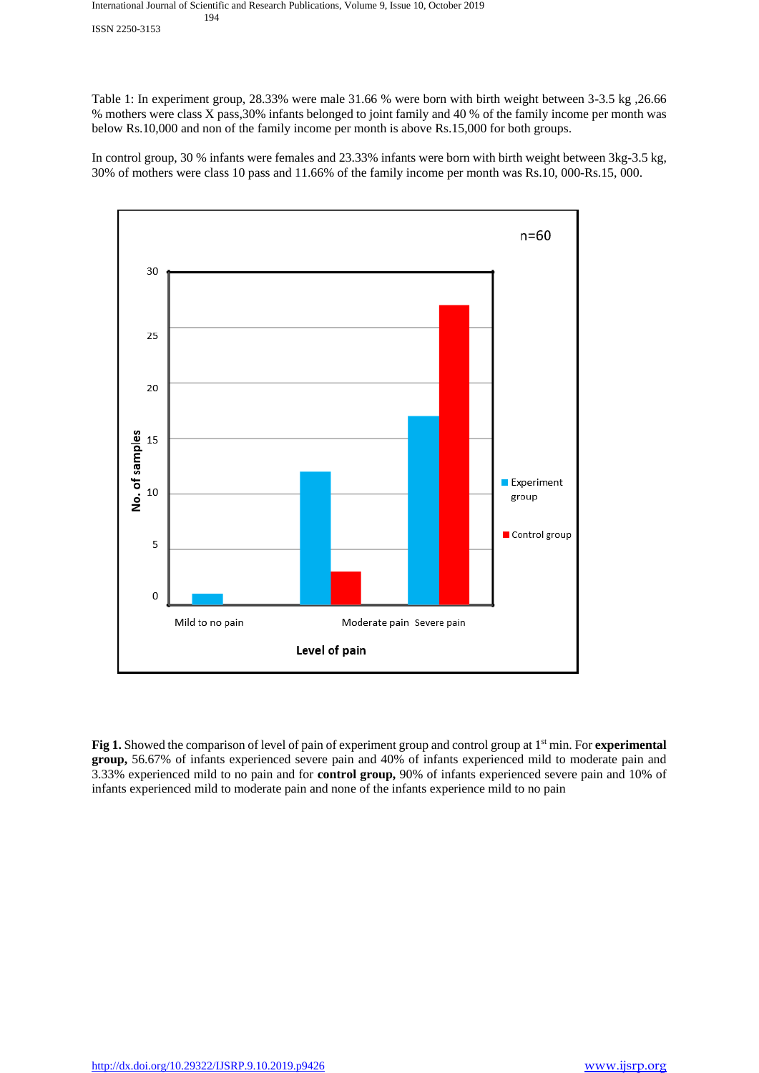#### International Journal of Scientific and Research Publications, Volume 9, Issue 10, October 2019 194

ISSN 2250-3153

Table 1: In experiment group, 28.33% were male 31.66 % were born with birth weight between 3-3.5 kg ,26.66 % mothers were class X pass,30% infants belonged to joint family and 40 % of the family income per month was below Rs.10,000 and non of the family income per month is above Rs.15,000 for both groups.

In control group, 30 % infants were females and 23.33% infants were born with birth weight between 3kg-3.5 kg, 30% of mothers were class 10 pass and 11.66% of the family income per month was Rs.10, 000-Rs.15, 000.



**Fig 1.** Showed the comparison of level of pain of experiment group and control group at 1st min. For **experimental group,** 56.67% of infants experienced severe pain and 40% of infants experienced mild to moderate pain and 3.33% experienced mild to no pain and for **control group,** 90% of infants experienced severe pain and 10% of infants experienced mild to moderate pain and none of the infants experience mild to no pain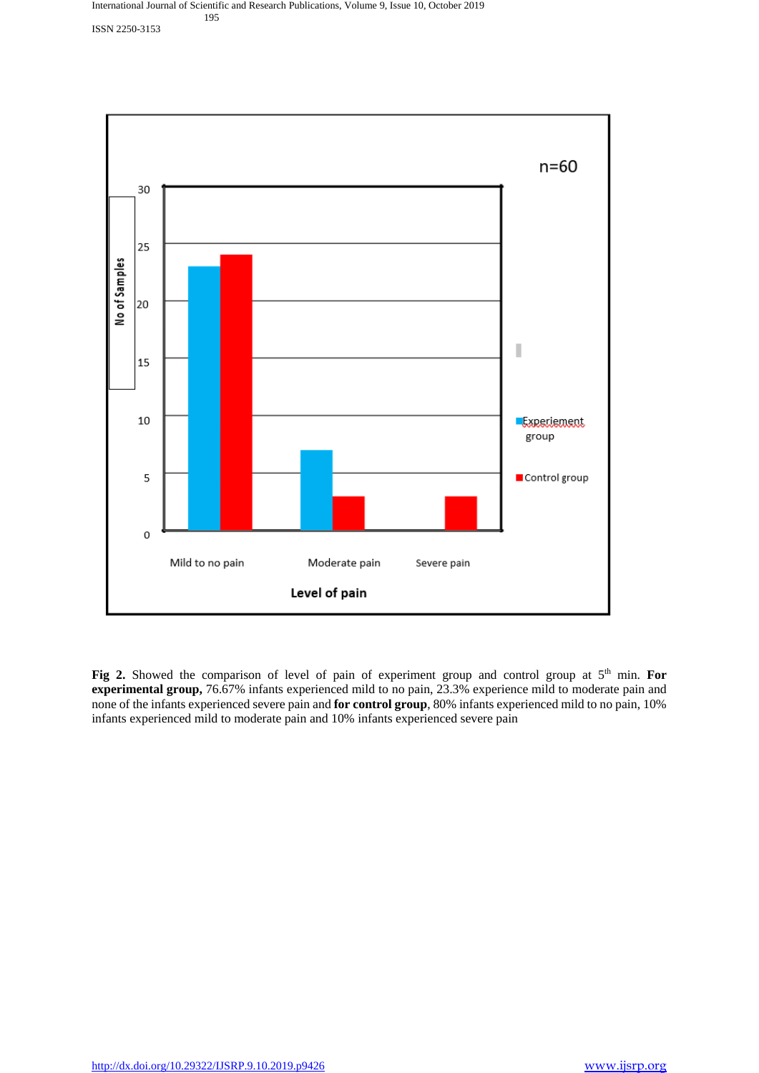

Fig 2. Showed the comparison of level of pain of experiment group and control group at 5<sup>th</sup> min. For **experimental group,** 76.67% infants experienced mild to no pain, 23.3% experience mild to moderate pain and none of the infants experienced severe pain and **for control group**, 80% infants experienced mild to no pain, 10% infants experienced mild to moderate pain and 10% infants experienced severe pain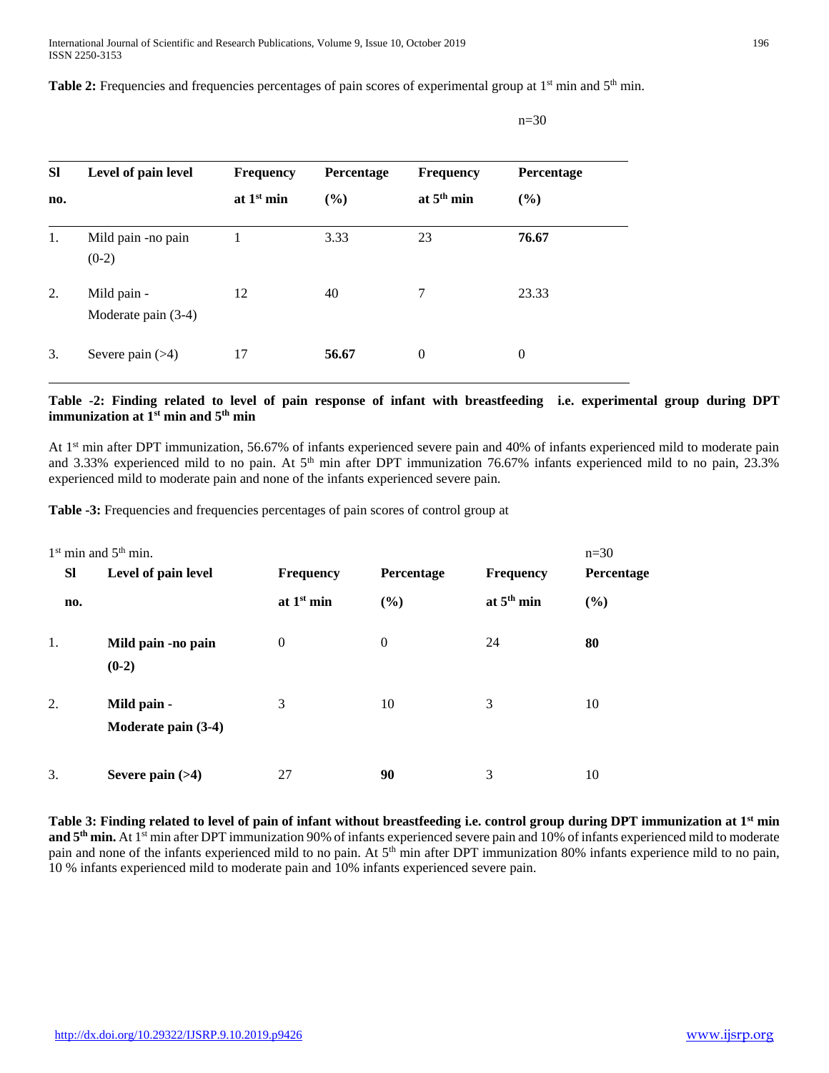Table 2: Frequencies and frequencies percentages of pain scores of experimental group at 1<sup>st</sup> min and 5<sup>th</sup> min.

| <b>SI</b><br>no. | Level of pain level                | <b>Frequency</b><br>at $1st$ min | <b>Percentage</b><br>(%) | <b>Frequency</b><br>at $5th$ min | Percentage<br>(%) |
|------------------|------------------------------------|----------------------------------|--------------------------|----------------------------------|-------------------|
| 1.               | Mild pain -no pain<br>$(0-2)$      |                                  | 3.33                     | 23                               | 76.67             |
| 2.               | Mild pain -<br>Moderate pain (3-4) | 12                               | 40                       | 7                                | 23.33             |
| 3.               | Severe pain $($ $>4)$              | 17                               | 56.67                    | $\theta$                         | $\theta$          |

n=30

# **Table -2: Finding related to level of pain response of infant with breastfeeding i.e. experimental group during DPT immunization at 1st min and 5th min**

At 1st min after DPT immunization, 56.67% of infants experienced severe pain and 40% of infants experienced mild to moderate pain and 3.33% experienced mild to no pain. At 5<sup>th</sup> min after DPT immunization 76.67% infants experienced mild to no pain, 23.3% experienced mild to moderate pain and none of the infants experienced severe pain.

**Table -3:** Frequencies and frequencies percentages of pain scores of control group at

| $1st$ min and $5th$ min.<br>$n=30$ |                                    |                  |                |                  |            |  |
|------------------------------------|------------------------------------|------------------|----------------|------------------|------------|--|
| <b>SI</b>                          | Level of pain level                | <b>Frequency</b> | Percentage     | <b>Frequency</b> | Percentage |  |
| no.                                |                                    | at $1st$ min     | (%)            | at $5th$ min     | (%)        |  |
| 1.                                 | Mild pain -no pain<br>$(0-2)$      | $\theta$         | $\overline{0}$ | 24               | 80         |  |
| 2.                                 | Mild pain -<br>Moderate pain (3-4) | 3                | 10             | 3                | 10         |  |
| 3.                                 | Severe pain $(>4)$                 | 27               | 90             | 3                | 10         |  |

**Table 3: Finding related to level of pain of infant without breastfeeding i.e. control group during DPT immunization at 1st min and 5th min.** At 1st min after DPT immunization 90% of infants experienced severe pain and 10% of infants experienced mild to moderate pain and none of the infants experienced mild to no pain. At 5<sup>th</sup> min after DPT immunization 80% infants experience mild to no pain, 10 % infants experienced mild to moderate pain and 10% infants experienced severe pain.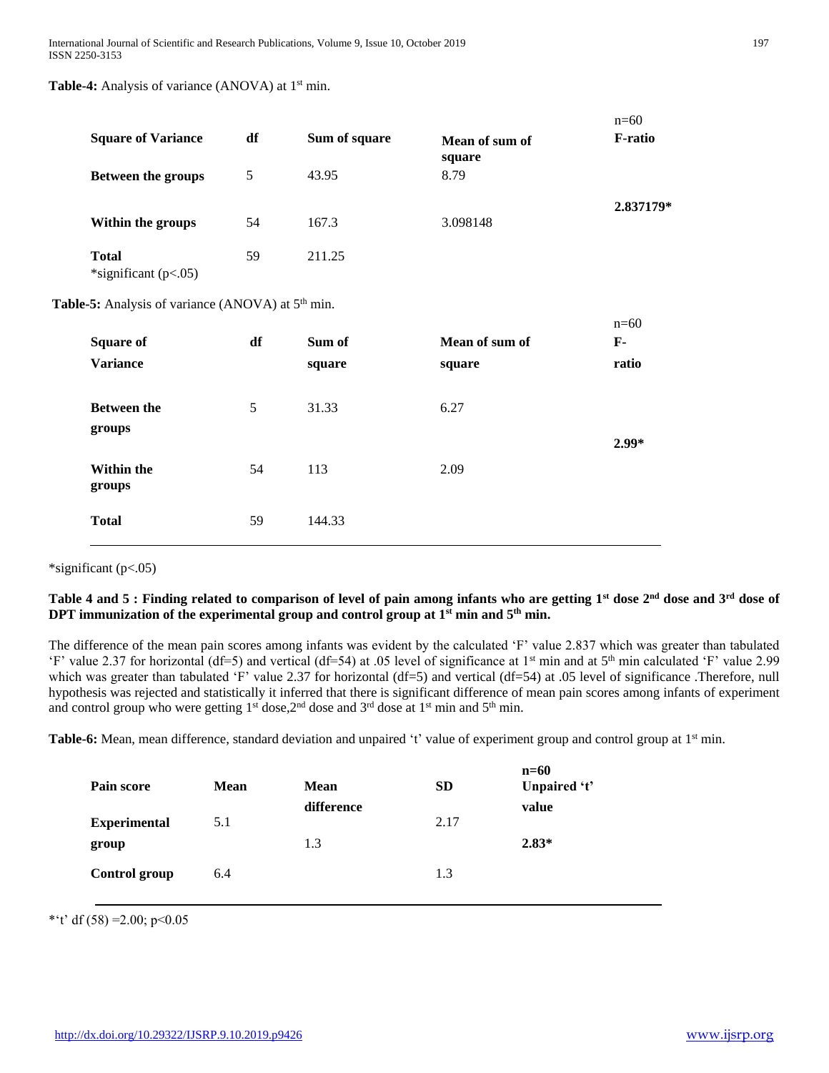**Table-4:** Analysis of variance (ANOVA) at 1<sup>st</sup> min.

| <b>Square of Variance</b>              | df | Sum of square | Mean of sum of<br>square | $n=60$<br><b>F-ratio</b> |
|----------------------------------------|----|---------------|--------------------------|--------------------------|
| <b>Between the groups</b>              | 5  | 43.95         | 8.79                     |                          |
| Within the groups                      | 54 | 167.3         | 3.098148                 | 2.837179*                |
| <b>Total</b><br>*significant $(p<.05)$ | 59 | 211.25        |                          |                          |

Table-5: Analysis of variance (ANOVA) at 5<sup>th</sup> min.

| <b>Square of</b><br><b>Variance</b> | df | Sum of<br>square | Mean of sum of<br>square | $n=60$<br>$\mathbf{F}$ -<br>ratio |
|-------------------------------------|----|------------------|--------------------------|-----------------------------------|
| <b>Between the</b><br>groups        | 5  | 31.33            | 6.27                     | $2.99*$                           |
| <b>Within the</b><br>groups         | 54 | 113              | 2.09                     |                                   |
| <b>Total</b>                        | 59 | 144.33           |                          |                                   |

\*significant (p<.05)

# **Table 4 and 5 : Finding related to comparison of level of pain among infants who are getting 1st dose 2nd dose and 3rd dose of DPT** immunization of the experimental group and control group at  $1^{st}$  min and  $5^{th}$  min.

The difference of the mean pain scores among infants was evident by the calculated 'F' value 2.837 which was greater than tabulated 'F' value 2.37 for horizontal (df=5) and vertical (df=54) at .05 level of significance at 1st min and at 5th min calculated 'F' value 2.99 which was greater than tabulated 'F' value 2.37 for horizontal (df=5) and vertical (df=54) at .05 level of significance .Therefore, null hypothesis was rejected and statistically it inferred that there is significant difference of mean pain scores among infants of experiment and control group who were getting 1<sup>st</sup> dose, 2<sup>nd</sup> dose and 3<sup>rd</sup> dose at 1<sup>st</sup> min and 5<sup>th</sup> min.

Table-6: Mean, mean difference, standard deviation and unpaired 't' value of experiment group and control group at 1<sup>st</sup> min.

| Pain score           | <b>Mean</b> | <b>Mean</b> | <b>SD</b> | $n=60$<br>Unpaired 't' |
|----------------------|-------------|-------------|-----------|------------------------|
|                      |             | difference  |           | value                  |
| <b>Experimental</b>  | 5.1         |             | 2.17      |                        |
| group                |             | 1.3         |           | $2.83*$                |
| <b>Control group</b> | 6.4         |             | 1.3       |                        |
|                      |             |             |           |                        |

\*'t' df  $(58) = 2.00$ ; p<0.05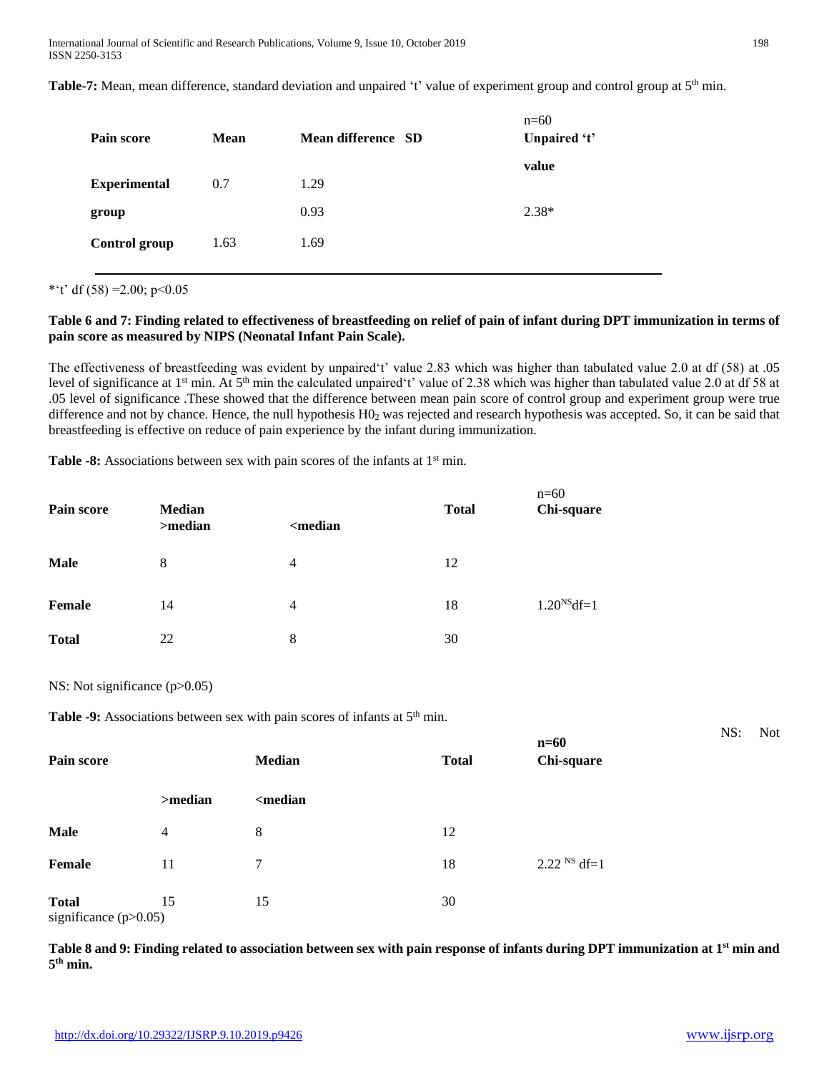Table-7: Mean, mean difference, standard deviation and unpaired 't' value of experiment group and control group at 5<sup>th</sup> min.

| Pain score           | <b>Mean</b> | Mean difference SD | $n=60$<br>Unpaired 't' |
|----------------------|-------------|--------------------|------------------------|
| <b>Experimental</b>  | 0.7         | 1.29               | value                  |
| group                |             | 0.93               | $2.38*$                |
| <b>Control group</b> | 1.63        | 1.69               |                        |

\*'t' df  $(58) = 2.00$ ; p<0.05

# **Table 6 and 7: Finding related to effectiveness of breastfeeding on relief of pain of infant during DPT immunization in terms of pain score as measured by NIPS (Neonatal Infant Pain Scale).**

The effectiveness of breastfeeding was evident by unpaired't' value 2.83 which was higher than tabulated value 2.0 at df (58) at .05 level of significance at 1<sup>st</sup> min. At 5<sup>th</sup> min the calculated unpaired't' value of 2.38 which was higher than tabulated value 2.0 at df 58 at .05 level of significance .These showed that the difference between mean pain score of control group and experiment group were true difference and not by chance. Hence, the null hypothesis  $H_0$  was rejected and research hypothesis was accepted. So, it can be said that breastfeeding is effective on reduce of pain experience by the infant during immunization.

 $\overline{c}$ 

Table -8: Associations between sex with pain scores of the infants at 1<sup>st</sup> min.

| Pain score    | <b>Median</b><br>>median | <median< th=""><th><b>Total</b></th><th><math>n = 60</math><br/>Chi-square</th></median<> | <b>Total</b> | $n = 60$<br>Chi-square |
|---------------|--------------------------|-------------------------------------------------------------------------------------------|--------------|------------------------|
| <b>Male</b>   | 8                        | 4                                                                                         | 12           |                        |
| <b>Female</b> | 14                       | 4                                                                                         | 18           | $1.20NS df=1$          |
| <b>Total</b>  | 22                       | 8                                                                                         | 30           |                        |

NS: Not significance (p>0.05)

**Table -9:** Associations between sex with pain scores of infants at 5<sup>th</sup> min.

| Pain score                              |                | Median                                               | <b>Total</b> | $n=60$<br>Chi-square      |  |
|-----------------------------------------|----------------|------------------------------------------------------|--------------|---------------------------|--|
|                                         | >median        | <median< th=""><th></th><th></th><th></th></median<> |              |                           |  |
| <b>Male</b>                             | $\overline{4}$ | 8                                                    | 12           |                           |  |
| Female                                  | 11             | 7                                                    | 18           | $2.22$ <sup>NS</sup> df=1 |  |
| <b>Total</b><br>significance $(p>0.05)$ | 15             | 15                                                   | 30           |                           |  |

**Table 8 and 9: Finding related to association between sex with pain response of infants during DPT immunization at 1st min and 5 th min.**

NS: Not